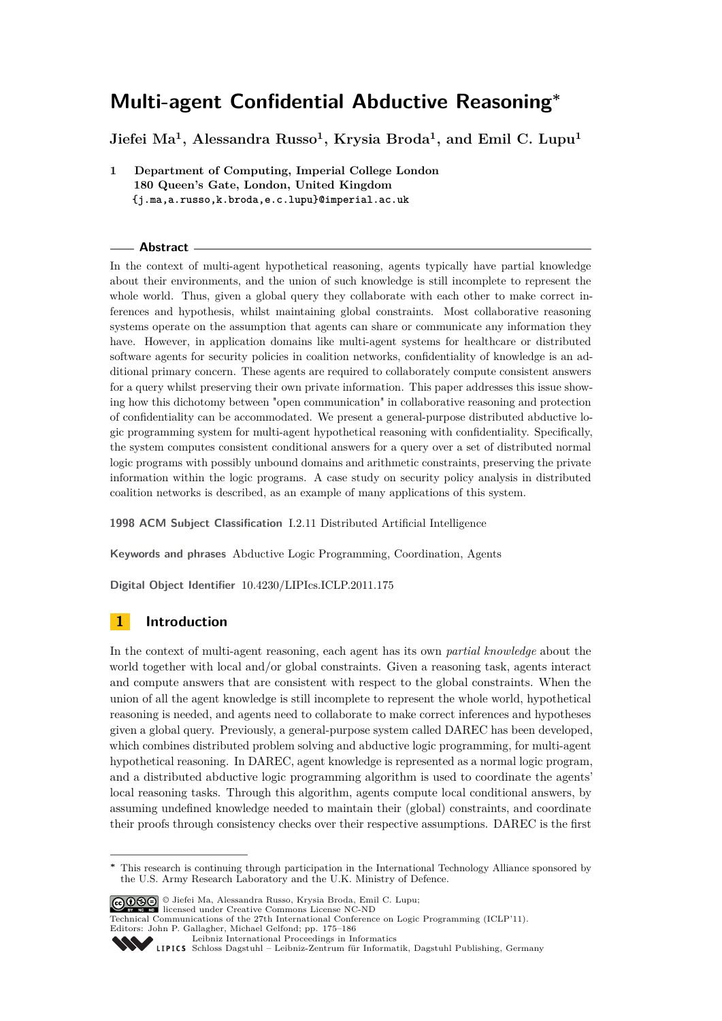**Jiefei Ma<sup>1</sup> , Alessandra Russo<sup>1</sup> , Krysia Broda<sup>1</sup> , and Emil C. Lupu<sup>1</sup>**

**1 Department of Computing, Imperial College London 180 Queen's Gate, London, United Kingdom {j.ma,a.russo,k.broda,e.c.lupu}@imperial.ac.uk**

#### **Abstract**

In the context of multi-agent hypothetical reasoning, agents typically have partial knowledge about their environments, and the union of such knowledge is still incomplete to represent the whole world. Thus, given a global query they collaborate with each other to make correct inferences and hypothesis, whilst maintaining global constraints. Most collaborative reasoning systems operate on the assumption that agents can share or communicate any information they have. However, in application domains like multi-agent systems for healthcare or distributed software agents for security policies in coalition networks, confidentiality of knowledge is an additional primary concern. These agents are required to collaborately compute consistent answers for a query whilst preserving their own private information. This paper addresses this issue showing how this dichotomy between "open communication" in collaborative reasoning and protection of confidentiality can be accommodated. We present a general-purpose distributed abductive logic programming system for multi-agent hypothetical reasoning with confidentiality. Specifically, the system computes consistent conditional answers for a query over a set of distributed normal logic programs with possibly unbound domains and arithmetic constraints, preserving the private information within the logic programs. A case study on security policy analysis in distributed coalition networks is described, as an example of many applications of this system.

**1998 ACM Subject Classification** I.2.11 Distributed Artificial Intelligence

**Keywords and phrases** Abductive Logic Programming, Coordination, Agents

**Digital Object Identifier** [10.4230/LIPIcs.ICLP.2011.175](http://dx.doi.org/10.4230/LIPIcs.ICLP.2011.175)

# **1 Introduction**

In the context of multi-agent reasoning, each agent has its own *partial knowledge* about the world together with local and/or global constraints. Given a reasoning task, agents interact and compute answers that are consistent with respect to the global constraints. When the union of all the agent knowledge is still incomplete to represent the whole world, hypothetical reasoning is needed, and agents need to collaborate to make correct inferences and hypotheses given a global query. Previously, a general-purpose system called DAREC has been developed, which combines distributed problem solving and abductive logic programming, for multi-agent hypothetical reasoning. In DAREC, agent knowledge is represented as a normal logic program, and a distributed abductive logic programming algorithm is used to coordinate the agents' local reasoning tasks. Through this algorithm, agents compute local conditional answers, by assuming undefined knowledge needed to maintain their (global) constraints, and coordinate their proofs through consistency checks over their respective assumptions. DAREC is the first

© Jiefei Ma, Alessandra Russo, Krysia Broda, Emil C. Lupu; licensed under Creative Commons License NC-ND

Technical Communications of the 27th International Conference on Logic Programming (ICLP'11). Editors: John P. Gallagher, Michael Gelfond; pp. 175[–186](#page-11-0)

[Leibniz International Proceedings in Informatics](http://www.dagstuhl.de/lipics/)



**<sup>∗</sup>** This research is continuing through participation in the International Technology Alliance sponsored by the U.S. Army Research Laboratory and the U.K. Ministry of Defence.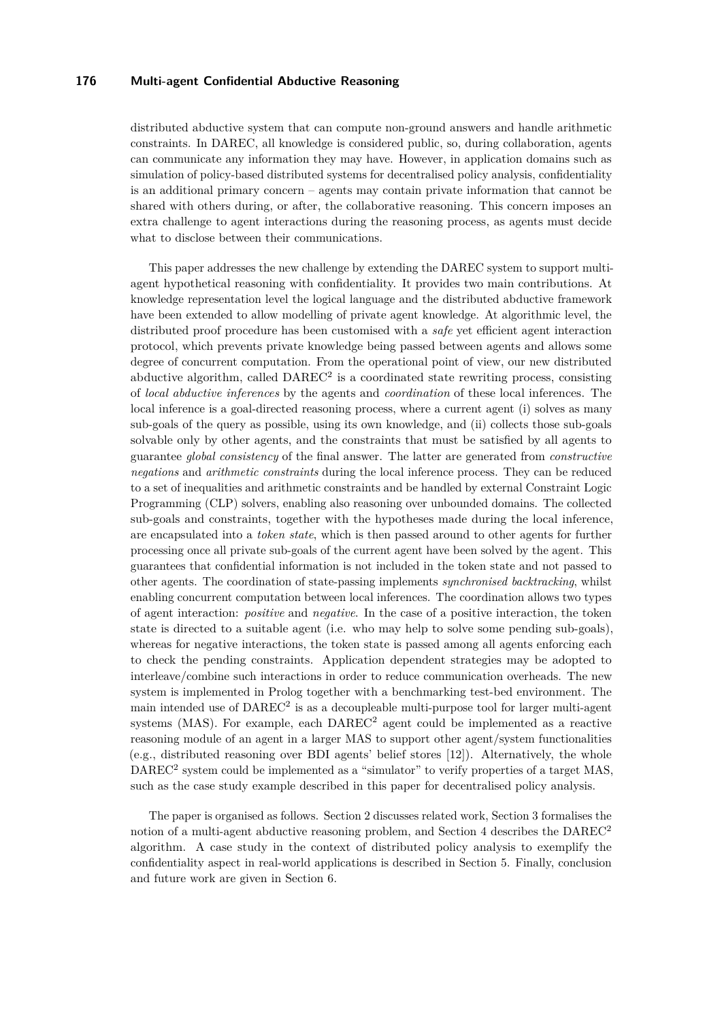distributed abductive system that can compute non-ground answers and handle arithmetic constraints. In DAREC, all knowledge is considered public, so, during collaboration, agents can communicate any information they may have. However, in application domains such as simulation of policy-based distributed systems for decentralised policy analysis, confidentiality is an additional primary concern – agents may contain private information that cannot be shared with others during, or after, the collaborative reasoning. This concern imposes an extra challenge to agent interactions during the reasoning process, as agents must decide what to disclose between their communications.

This paper addresses the new challenge by extending the DAREC system to support multiagent hypothetical reasoning with confidentiality. It provides two main contributions. At knowledge representation level the logical language and the distributed abductive framework have been extended to allow modelling of private agent knowledge. At algorithmic level, the distributed proof procedure has been customised with a *safe* yet efficient agent interaction protocol, which prevents private knowledge being passed between agents and allows some degree of concurrent computation. From the operational point of view, our new distributed abductive algorithm, called DAREC<sup>2</sup> is a coordinated state rewriting process, consisting of *local abductive inferences* by the agents and *coordination* of these local inferences. The local inference is a goal-directed reasoning process, where a current agent (i) solves as many sub-goals of the query as possible, using its own knowledge, and (ii) collects those sub-goals solvable only by other agents, and the constraints that must be satisfied by all agents to guarantee *global consistency* of the final answer. The latter are generated from *constructive negations* and *arithmetic constraints* during the local inference process. They can be reduced to a set of inequalities and arithmetic constraints and be handled by external Constraint Logic Programming (CLP) solvers, enabling also reasoning over unbounded domains. The collected sub-goals and constraints, together with the hypotheses made during the local inference, are encapsulated into a *token state*, which is then passed around to other agents for further processing once all private sub-goals of the current agent have been solved by the agent. This guarantees that confidential information is not included in the token state and not passed to other agents. The coordination of state-passing implements *synchronised backtracking*, whilst enabling concurrent computation between local inferences. The coordination allows two types of agent interaction: *positive* and *negative*. In the case of a positive interaction, the token state is directed to a suitable agent (i.e. who may help to solve some pending sub-goals), whereas for negative interactions, the token state is passed among all agents enforcing each to check the pending constraints. Application dependent strategies may be adopted to interleave/combine such interactions in order to reduce communication overheads. The new system is implemented in Prolog together with a benchmarking test-bed environment. The main intended use of  $\text{DAREC}^2$  is as a decoupleable multi-purpose tool for larger multi-agent systems (MAS). For example, each  $DAREC<sup>2</sup>$  agent could be implemented as a reactive reasoning module of an agent in a larger MAS to support other agent/system functionalities (e.g., distributed reasoning over BDI agents' belief stores [\[12\]](#page-11-1)). Alternatively, the whole DAREC<sup>2</sup> system could be implemented as a "simulator" to verify properties of a target MAS, such as the case study example described in this paper for decentralised policy analysis.

The paper is organised as follows. Section [2](#page-2-0) discusses related work, Section [3](#page-2-1) formalises the notion of a multi-agent abductive reasoning problem, and Section [4](#page-3-0) describes the  $DAREC<sup>2</sup>$ algorithm. A case study in the context of distributed policy analysis to exemplify the confidentiality aspect in real-world applications is described in Section [5.](#page-8-0) Finally, conclusion and future work are given in Section [6.](#page-10-0)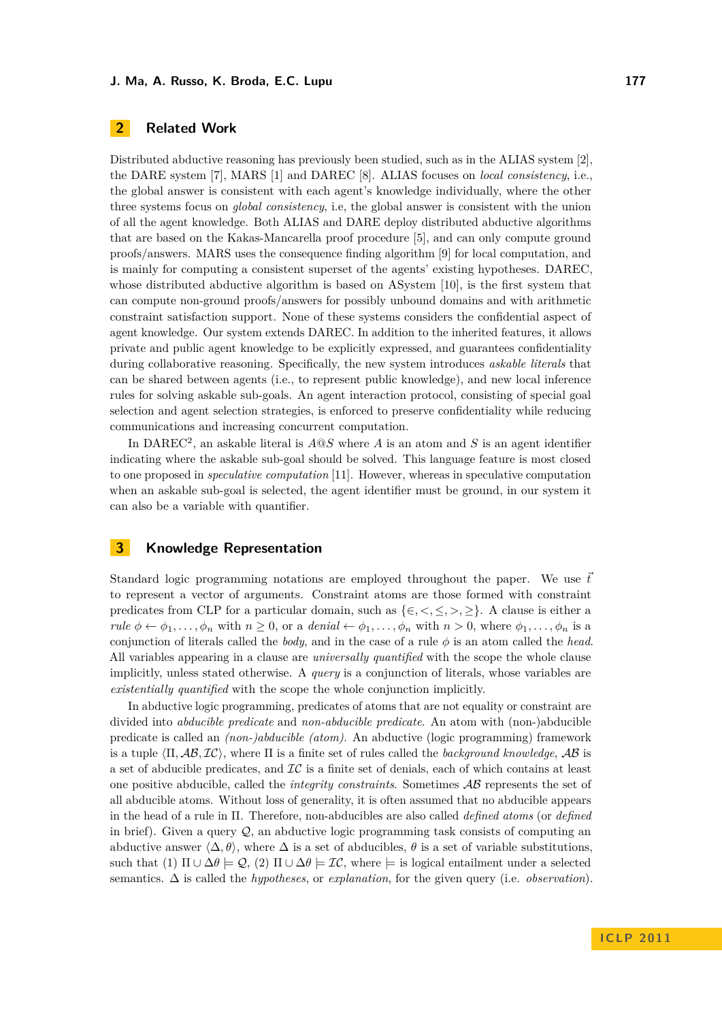# <span id="page-2-0"></span>**2 Related Work**

Distributed abductive reasoning has previously been studied, such as in the ALIAS system [\[2\]](#page-10-1), the DARE system [\[7\]](#page-10-2), MARS [\[1\]](#page-10-3) and DAREC [\[8\]](#page-10-4). ALIAS focuses on *local consistency*, i.e., the global answer is consistent with each agent's knowledge individually, where the other three systems focus on *global consistency*, i.e, the global answer is consistent with the union of all the agent knowledge. Both ALIAS and DARE deploy distributed abductive algorithms that are based on the Kakas-Mancarella proof procedure [\[5\]](#page-10-5), and can only compute ground proofs/answers. MARS uses the consequence finding algorithm [\[9\]](#page-10-6) for local computation, and is mainly for computing a consistent superset of the agents' existing hypotheses. DAREC, whose distributed abductive algorithm is based on ASystem [\[10\]](#page-10-7), is the first system that can compute non-ground proofs/answers for possibly unbound domains and with arithmetic constraint satisfaction support. None of these systems considers the confidential aspect of agent knowledge. Our system extends DAREC. In addition to the inherited features, it allows private and public agent knowledge to be explicitly expressed, and guarantees confidentiality during collaborative reasoning. Specifically, the new system introduces *askable literals* that can be shared between agents (i.e., to represent public knowledge), and new local inference rules for solving askable sub-goals. An agent interaction protocol, consisting of special goal selection and agent selection strategies, is enforced to preserve confidentiality while reducing communications and increasing concurrent computation.

In DAREC<sup>2</sup>, an askable literal is  $A@S$  where *A* is an atom and *S* is an agent identifier indicating where the askable sub-goal should be solved. This language feature is most closed to one proposed in *speculative computation* [\[11\]](#page-11-2). However, whereas in speculative computation when an askable sub-goal is selected, the agent identifier must be ground, in our system it can also be a variable with quantifier.

### <span id="page-2-1"></span>**3 Knowledge Representation**

Standard logic programming notations are employed throughout the paper. We use  $\vec{t}$ to represent a vector of arguments. Constraint atoms are those formed with constraint predicates from CLP for a particular domain, such as  $\{\in, \leq, \leq, \geq\}$ . A clause is either a *rule*  $\phi \leftarrow \phi_1, \ldots, \phi_n$  with  $n \geq 0$ , or a *denial*  $\leftarrow \phi_1, \ldots, \phi_n$  with  $n > 0$ , where  $\phi_1, \ldots, \phi_n$  is a conjunction of literals called the *body*, and in the case of a rule  $\phi$  is an atom called the *head*. All variables appearing in a clause are *universally quantified* with the scope the whole clause implicitly, unless stated otherwise. A *query* is a conjunction of literals, whose variables are *existentially quantified* with the scope the whole conjunction implicitly.

In abductive logic programming, predicates of atoms that are not equality or constraint are divided into *abducible predicate* and *non-abducible predicate*. An atom with (non-)abducible predicate is called an *(non-)abducible (atom)*. An abductive (logic programming) framework is a tuple  $\langle \Pi, \mathcal{AB}, \mathcal{IC} \rangle$ , where  $\Pi$  is a finite set of rules called the *background knowledge*,  $\mathcal{AB}$  is a set of abducible predicates, and  $\mathcal{IC}$  is a finite set of denials, each of which contains at least one positive abducible, called the *integrity constraints*. Sometimes AB represents the set of all abducible atoms. Without loss of generality, it is often assumed that no abducible appears in the head of a rule in Π. Therefore, non-abducibles are also called *defined atoms* (or *defined* in brief). Given a query  $Q$ , an abductive logic programming task consists of computing an abductive answer  $\langle \Delta, \theta \rangle$ , where  $\Delta$  is a set of abducibles,  $\theta$  is a set of variable substitutions, such that (1)  $\Pi \cup \Delta \theta \models \mathcal{Q}$ , (2)  $\Pi \cup \Delta \theta \models \mathcal{IC}$ , where  $\models$  is logical entailment under a selected semantics. ∆ is called the *hypotheses*, or *explanation*, for the given query (i.e. *observation*).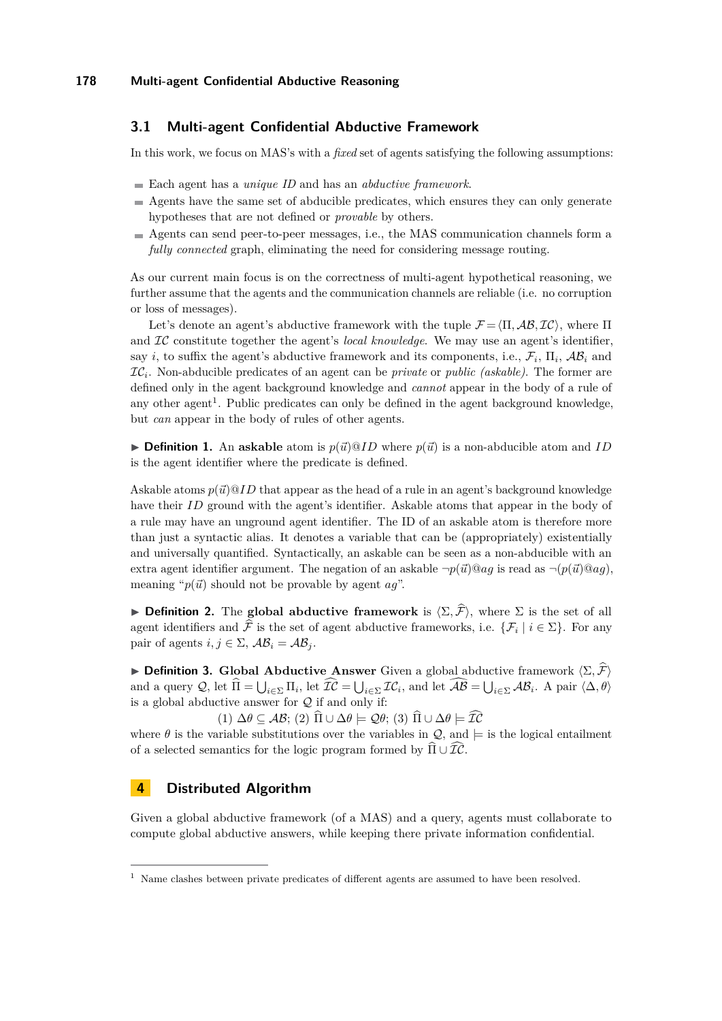## **3.1 Multi-agent Confidential Abductive Framework**

In this work, we focus on MAS's with a *fixed* set of agents satisfying the following assumptions:

- Each agent has a *unique ID* and has an *abductive framework*.
- Agents have the same set of abducible predicates, which ensures they can only generate hypotheses that are not defined or *provable* by others.
- Agents can send peer-to-peer messages, i.e., the MAS communication channels form a *fully connected* graph, eliminating the need for considering message routing.

As our current main focus is on the correctness of multi-agent hypothetical reasoning, we further assume that the agents and the communication channels are reliable (i.e. no corruption or loss of messages).

Let's denote an agent's abductive framework with the tuple  $\mathcal{F} = \langle \Pi, \mathcal{AB}, \mathcal{IC} \rangle$ , where  $\Pi$ and IC constitute together the agent's *local knowledge*. We may use an agent's identifier, say *i*, to suffix the agent's abductive framework and its components, i.e.,  $\mathcal{F}_i$ ,  $\Pi_i$ ,  $\mathcal{AB}_i$  and IC*<sup>i</sup>* . Non-abducible predicates of an agent can be *private* or *public (askable)*. The former are defined only in the agent background knowledge and *cannot* appear in the body of a rule of any other agent<sup>1</sup>. Public predicates can only be defined in the agent background knowledge, but *can* appear in the body of rules of other agents.

 $\triangleright$  **Definition 1.** An askable atom is  $p(\vec{u})@ID$  where  $p(\vec{u})$  is a non-abducible atom and *ID* is the agent identifier where the predicate is defined.

Askable atoms  $p(\vec{u})@ID$  that appear as the head of a rule in an agent's background knowledge have their *ID* ground with the agent's identifier. Askable atoms that appear in the body of a rule may have an unground agent identifier. The ID of an askable atom is therefore more than just a syntactic alias. It denotes a variable that can be (appropriately) existentially and universally quantified. Syntactically, an askable can be seen as a non-abducible with an extra agent identifier argument. The negation of an askable  $\neg p(\vec{u}) \mathcal{Q} a q$  is read as  $\neg (p(\vec{u}) \mathcal{Q} a q)$ , meaning " $p(\vec{u})$  should not be provable by agent *ag*".

**Definition 2.** The **global abductive framework** is  $\langle \Sigma, \hat{\mathcal{F}} \rangle$ , where  $\Sigma$  is the set of all agent identifiers and F is the set of agent abductive frameworks, i.e.  $\{\mathcal{F}_i \mid i \in \Sigma\}$ . For any pair of agents  $i, j \in \Sigma$ ,  $AB_i = AB_i$ .

**Definition 3.** Global Abductive Answer Given a global abductive framework  $\langle \Sigma, \hat{\mathcal{F}} \rangle$ and a query  $\mathcal{Q}$ , let  $\Pi = \bigcup_{i \in \Sigma} \Pi_i$ , let  $\mathcal{IC} = \bigcup_{i \in \Sigma} \mathcal{IC}_i$ , and let  $\mathcal{AB} = \bigcup_{i \in \Sigma} \mathcal{AB}_i$ . A pair  $\langle \Delta, \theta \rangle$ is a global abductive answer for  $Q$  if and only if:

 $(1) \Delta \theta \subseteq AB$ ;  $(2) \widehat{\Pi} \cup \Delta \theta \models \mathcal{Q}\theta$ ;  $(3) \widehat{\Pi} \cup \Delta \theta \models \widehat{\mathcal{IC}}$ 

where  $\theta$  is the variable substitutions over the variables in  $\mathcal{Q}$ , and  $\models$  is the logical entailment of a selected semantics for the logic program formed by  $\widehat{\Pi} \cup \widehat{\mathcal{IC}}$ .

# <span id="page-3-0"></span>**4 Distributed Algorithm**

Given a global abductive framework (of a MAS) and a query, agents must collaborate to compute global abductive answers, while keeping there private information confidential.

<sup>1</sup> Name clashes between private predicates of different agents are assumed to have been resolved.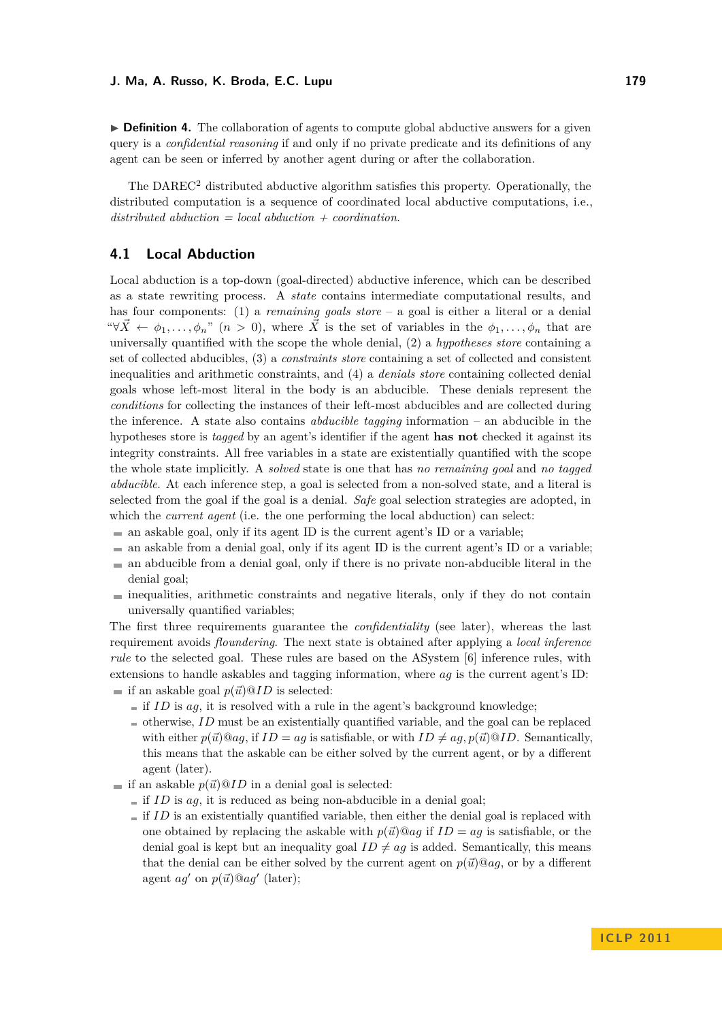► **Definition 4.** The collaboration of agents to compute global abductive answers for a given query is a *confidential reasoning* if and only if no private predicate and its definitions of any agent can be seen or inferred by another agent during or after the collaboration.

The DAREC<sup>2</sup> distributed abductive algorithm satisfies this property. Operationally, the distributed computation is a sequence of coordinated local abductive computations, i.e., *distributed abduction = local abduction + coordination*.

## **4.1 Local Abduction**

Local abduction is a top-down (goal-directed) abductive inference, which can be described as a state rewriting process. A *state* contains intermediate computational results, and has four components: (1) a *remaining goals store* – a goal is either a literal or a denial " $\forall \vec{X} \leftarrow \phi_1, \ldots, \phi_n$ " (*n* > 0), where  $\vec{X}$  is the set of variables in the  $\phi_1, \ldots, \phi_n$  that are universally quantified with the scope the whole denial, (2) a *hypotheses store* containing a set of collected abducibles, (3) a *constraints store* containing a set of collected and consistent inequalities and arithmetic constraints, and (4) a *denials store* containing collected denial goals whose left-most literal in the body is an abducible. These denials represent the *conditions* for collecting the instances of their left-most abducibles and are collected during the inference. A state also contains *abducible tagging* information – an abducible in the hypotheses store is *tagged* by an agent's identifier if the agent **has not** checked it against its integrity constraints. All free variables in a state are existentially quantified with the scope the whole state implicitly. A *solved* state is one that has *no remaining goal* and *no tagged abducible*. At each inference step, a goal is selected from a non-solved state, and a literal is selected from the goal if the goal is a denial. *Safe* goal selection strategies are adopted, in which the *current agent* (i.e. the one performing the local abduction) can select:

- $\blacksquare$  an askable goal, only if its agent ID is the current agent's ID or a variable;
- $\blacksquare$  an askable from a denial goal, only if its agent ID is the current agent's ID or a variable;
- an abducible from a denial goal, only if there is no private non-abducible literal in the denial goal;
- $\blacksquare$  inequalities, arithmetic constraints and negative literals, only if they do not contain universally quantified variables;

The first three requirements guarantee the *confidentiality* (see later), whereas the last requirement avoids *floundering*. The next state is obtained after applying a *local inference rule* to the selected goal. These rules are based on the ASystem [\[6\]](#page-10-8) inference rules, with extensions to handle askables and tagging information, where *ag* is the current agent's ID: if an askable goal  $p(\vec{u})@ID$  is selected:

- if *ID* is *ag*, it is resolved with a rule in the agent's background knowledge;
- $\blacksquare$  otherwise, *ID* must be an existentially quantified variable, and the goal can be replaced with either  $p(\vec{u})@aq$ , if  $ID = aq$  is satisfiable, or with  $ID \neq aq$ ,  $p(\vec{u})@ID$ . Semantically, this means that the askable can be either solved by the current agent, or by a different agent (later).
- if an askable  $p(\vec{u})@ID$  in a denial goal is selected:
	- $\blacksquare$  if *ID* is *ag*, it is reduced as being non-abducible in a denial goal;
	- $\blacksquare$  if *ID* is an existentially quantified variable, then either the denial goal is replaced with one obtained by replacing the askable with  $p(\vec{u})@ag$  if  $ID = ag$  is satisfiable, or the denial goal is kept but an inequality goal  $ID \neq aq$  is added. Semantically, this means that the denial can be either solved by the current agent on  $p(\vec{u})@ag$ , or by a different agent  $ag'$  on  $p(\vec{u})@ag'$  (later);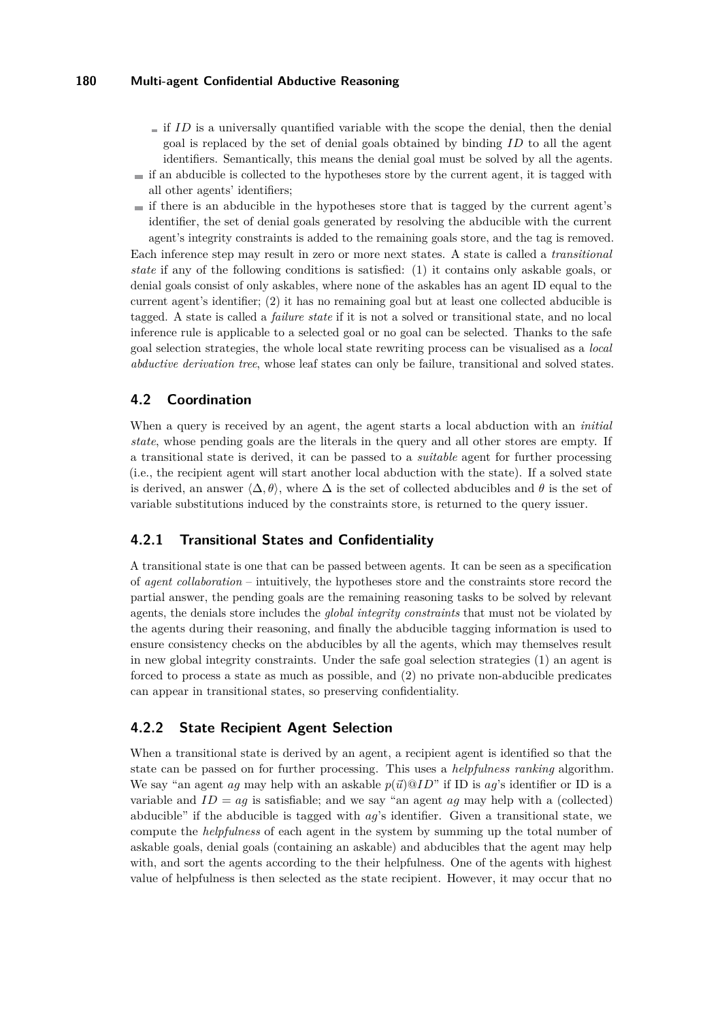- $\equiv$  if *ID* is a universally quantified variable with the scope the denial, then the denial goal is replaced by the set of denial goals obtained by binding *ID* to all the agent identifiers. Semantically, this means the denial goal must be solved by all the agents.
- $\equiv$  if an abducible is collected to the hypotheses store by the current agent, it is tagged with all other agents' identifiers;
- $\equiv$  if there is an abducible in the hypotheses store that is tagged by the current agent's identifier, the set of denial goals generated by resolving the abducible with the current agent's integrity constraints is added to the remaining goals store, and the tag is removed. Each inference step may result in zero or more next states. A state is called a *transitional state* if any of the following conditions is satisfied: (1) it contains only askable goals, or denial goals consist of only askables, where none of the askables has an agent ID equal to the current agent's identifier; (2) it has no remaining goal but at least one collected abducible is tagged. A state is called a *failure state* if it is not a solved or transitional state, and no local inference rule is applicable to a selected goal or no goal can be selected. Thanks to the safe goal selection strategies, the whole local state rewriting process can be visualised as a *local abductive derivation tree*, whose leaf states can only be failure, transitional and solved states.

## **4.2 Coordination**

When a query is received by an agent, the agent starts a local abduction with an *initial state*, whose pending goals are the literals in the query and all other stores are empty. If a transitional state is derived, it can be passed to a *suitable* agent for further processing (i.e., the recipient agent will start another local abduction with the state). If a solved state is derived, an answer  $\langle \Delta, \theta \rangle$ , where  $\Delta$  is the set of collected abducibles and  $\theta$  is the set of variable substitutions induced by the constraints store, is returned to the query issuer.

### **4.2.1 Transitional States and Confidentiality**

A transitional state is one that can be passed between agents. It can be seen as a specification of *agent collaboration* – intuitively, the hypotheses store and the constraints store record the partial answer, the pending goals are the remaining reasoning tasks to be solved by relevant agents, the denials store includes the *global integrity constraints* that must not be violated by the agents during their reasoning, and finally the abducible tagging information is used to ensure consistency checks on the abducibles by all the agents, which may themselves result in new global integrity constraints. Under the safe goal selection strategies (1) an agent is forced to process a state as much as possible, and (2) no private non-abducible predicates can appear in transitional states, so preserving confidentiality.

### **4.2.2 State Recipient Agent Selection**

When a transitional state is derived by an agent, a recipient agent is identified so that the state can be passed on for further processing. This uses a *helpfulness ranking* algorithm. We say "an agent *ag* may help with an askable  $p(\vec{u})@ID$ " if ID is *ag*'s identifier or ID is a variable and  $ID = ag$  is satisfiable; and we say "an agent  $ag$  may help with a (collected) abducible" if the abducible is tagged with *ag*'s identifier. Given a transitional state, we compute the *helpfulness* of each agent in the system by summing up the total number of askable goals, denial goals (containing an askable) and abducibles that the agent may help with, and sort the agents according to the their helpfulness. One of the agents with highest value of helpfulness is then selected as the state recipient. However, it may occur that no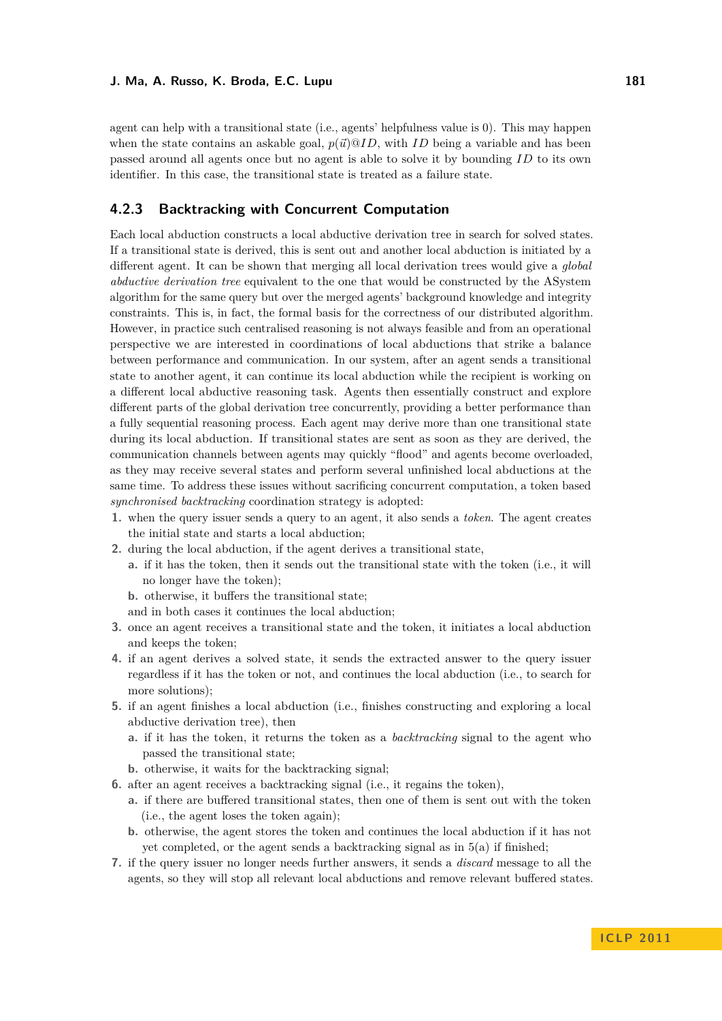agent can help with a transitional state (i.e., agents' helpfulness value is 0). This may happen when the state contains an askable goal,  $p(\vec{u})@ID$ , with *ID* being a variable and has been passed around all agents once but no agent is able to solve it by bounding *ID* to its own identifier. In this case, the transitional state is treated as a failure state.

## **4.2.3 Backtracking with Concurrent Computation**

Each local abduction constructs a local abductive derivation tree in search for solved states. If a transitional state is derived, this is sent out and another local abduction is initiated by a different agent. It can be shown that merging all local derivation trees would give a *global abductive derivation tree* equivalent to the one that would be constructed by the ASystem algorithm for the same query but over the merged agents' background knowledge and integrity constraints. This is, in fact, the formal basis for the correctness of our distributed algorithm. However, in practice such centralised reasoning is not always feasible and from an operational perspective we are interested in coordinations of local abductions that strike a balance between performance and communication. In our system, after an agent sends a transitional state to another agent, it can continue its local abduction while the recipient is working on a different local abductive reasoning task. Agents then essentially construct and explore different parts of the global derivation tree concurrently, providing a better performance than a fully sequential reasoning process. Each agent may derive more than one transitional state during its local abduction. If transitional states are sent as soon as they are derived, the communication channels between agents may quickly "flood" and agents become overloaded, as they may receive several states and perform several unfinished local abductions at the same time. To address these issues without sacrificing concurrent computation, a token based *synchronised backtracking* coordination strategy is adopted:

- **1.** when the query issuer sends a query to an agent, it also sends a *token*. The agent creates the initial state and starts a local abduction;
- **2.** during the local abduction, if the agent derives a transitional state,
	- **a.** if it has the token, then it sends out the transitional state with the token (i.e., it will no longer have the token);

**b.** otherwise, it buffers the transitional state;

and in both cases it continues the local abduction;

- **3.** once an agent receives a transitional state and the token, it initiates a local abduction and keeps the token;
- **4.** if an agent derives a solved state, it sends the extracted answer to the query issuer regardless if it has the token or not, and continues the local abduction (i.e., to search for more solutions);
- **5.** if an agent finishes a local abduction (i.e., finishes constructing and exploring a local abductive derivation tree), then
	- **a.** if it has the token, it returns the token as a *backtracking* signal to the agent who passed the transitional state;
	- **b.** otherwise, it waits for the backtracking signal;
- **6.** after an agent receives a backtracking signal (i.e., it regains the token),
	- **a.** if there are buffered transitional states, then one of them is sent out with the token (i.e., the agent loses the token again);
	- **b.** otherwise, the agent stores the token and continues the local abduction if it has not yet completed, or the agent sends a backtracking signal as in 5(a) if finished;
- **7.** if the query issuer no longer needs further answers, it sends a *discard* message to all the agents, so they will stop all relevant local abductions and remove relevant buffered states.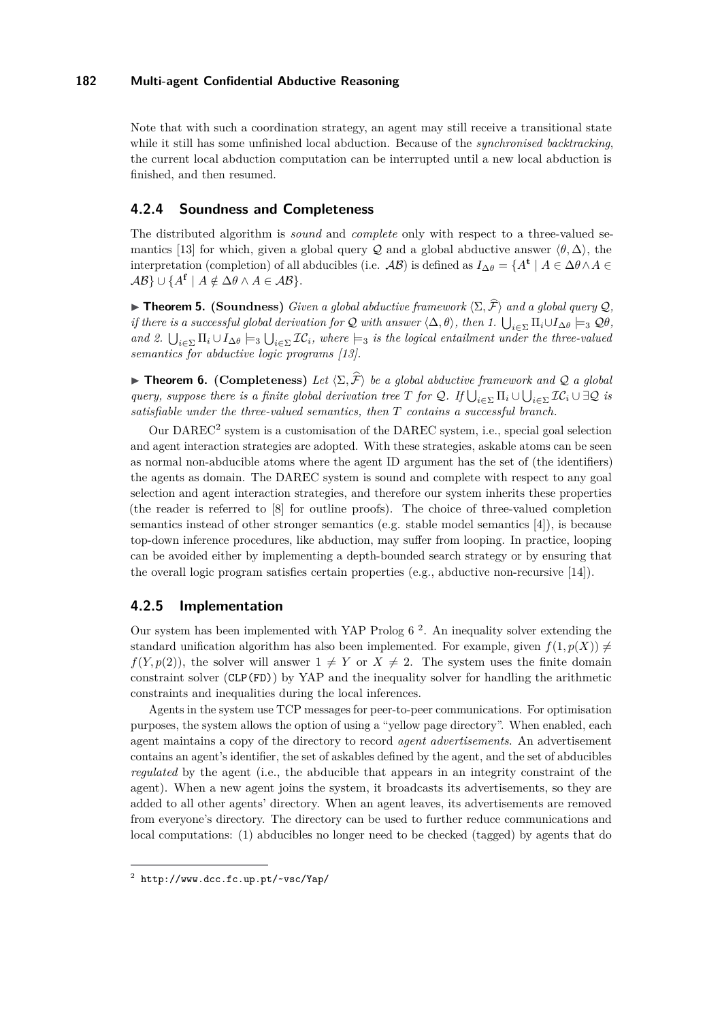Note that with such a coordination strategy, an agent may still receive a transitional state while it still has some unfinished local abduction. Because of the *synchronised backtracking*, the current local abduction computation can be interrupted until a new local abduction is finished, and then resumed.

# **4.2.4 Soundness and Completeness**

The distributed algorithm is *sound* and *complete* only with respect to a three-valued se-mantics [\[13\]](#page-11-3) for which, given a global query Q and a global abductive answer  $\langle \theta, \Delta \rangle$ , the interpretation (completion) of all abducibles (i.e.  $\mathcal{AB}$ ) is defined as  $I_{\Delta\theta} = \{A^{\mathbf{t}} \mid A \in \Delta\theta \wedge A \in$  $\mathcal{AB}$   $\cup$  { $A^{\mathbf{f}}$  |  $A \notin \Delta\theta \wedge A \in \mathcal{AB}$  }.

**► Theorem 5. (Soundness)** *Given a global abductive framework*  $\langle \Sigma, \hat{\mathcal{F}} \rangle$  *and a global query*  $\mathcal{Q},$ *if there is a successful global derivation for Q with answer*  $\langle \Delta, \theta \rangle$ , then 1.  $\bigcup_{i \in \Sigma} \Pi_i \cup I_{\Delta\theta} \models_3 \mathcal{Q}\theta$ , *and 2.*  $\bigcup_{i\in\Sigma} \Pi_i \cup I_{\Delta\theta} \models_3 \bigcup_{i\in\Sigma} \mathcal{IC}_i$ , where  $\models_3$  is the logical entailment under the three-valued *semantics for abductive logic programs [\[13\]](#page-11-3).*

**Findment 5.** (Completeness) Let  $\langle \Sigma, \hat{\mathcal{F}} \rangle$  be a global abductive framework and Q a global *query, suppose there is a finite global derivation tree T for Q. If*  $\bigcup_{i\in\Sigma} \Pi_i \cup \bigcup_{i\in\Sigma} \mathcal{IC}_i \cup \exists \mathcal{Q}$  *is satisfiable under the three-valued semantics, then T contains a successful branch.*

Our DAREC<sup>2</sup> system is a customisation of the DAREC system, i.e., special goal selection and agent interaction strategies are adopted. With these strategies, askable atoms can be seen as normal non-abducible atoms where the agent ID argument has the set of (the identifiers) the agents as domain. The DAREC system is sound and complete with respect to any goal selection and agent interaction strategies, and therefore our system inherits these properties (the reader is referred to [\[8\]](#page-10-4) for outline proofs). The choice of three-valued completion semantics instead of other stronger semantics (e.g. stable model semantics [\[4\]](#page-10-9)), is because top-down inference procedures, like abduction, may suffer from looping. In practice, looping can be avoided either by implementing a depth-bounded search strategy or by ensuring that the overall logic program satisfies certain properties (e.g., abductive non-recursive [\[14\]](#page-11-4)).

# **4.2.5 Implementation**

Our system has been implemented with YAP Prolog 6 <sup>2</sup> . An inequality solver extending the standard unification algorithm has also been implemented. For example, given  $f(1, p(X)) \neq$  $f(Y, p(2))$ , the solver will answer  $1 \neq Y$  or  $X \neq 2$ . The system uses the finite domain constraint solver (CLP(FD)) by YAP and the inequality solver for handling the arithmetic constraints and inequalities during the local inferences.

Agents in the system use TCP messages for peer-to-peer communications. For optimisation purposes, the system allows the option of using a "yellow page directory". When enabled, each agent maintains a copy of the directory to record *agent advertisements*. An advertisement contains an agent's identifier, the set of askables defined by the agent, and the set of abducibles *regulated* by the agent (i.e., the abducible that appears in an integrity constraint of the agent). When a new agent joins the system, it broadcasts its advertisements, so they are added to all other agents' directory. When an agent leaves, its advertisements are removed from everyone's directory. The directory can be used to further reduce communications and local computations: (1) abducibles no longer need to be checked (tagged) by agents that do

 $^2$  <http://www.dcc.fc.up.pt/~vsc/Yap/>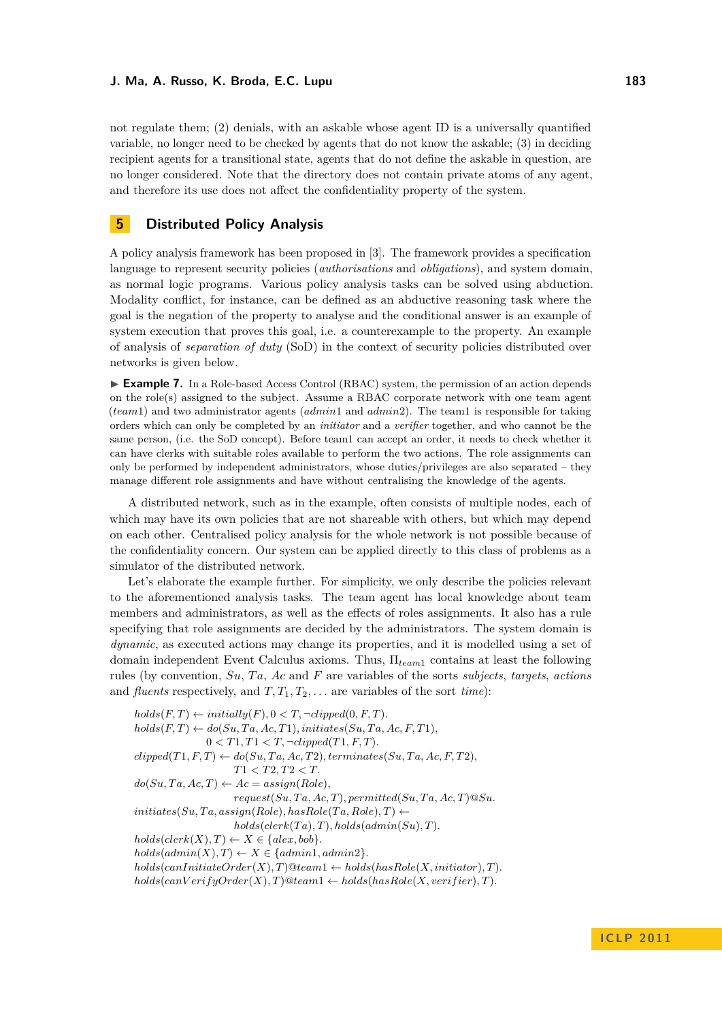not regulate them; (2) denials, with an askable whose agent ID is a universally quantified

variable, no longer need to be checked by agents that do not know the askable; (3) in deciding recipient agents for a transitional state, agents that do not define the askable in question, are no longer considered. Note that the directory does not contain private atoms of any agent, and therefore its use does not affect the confidentiality property of the system.

# <span id="page-8-0"></span>**5 Distributed Policy Analysis**

A policy analysis framework has been proposed in [\[3\]](#page-10-10). The framework provides a specification language to represent security policies (*authorisations* and *obligations*), and system domain, as normal logic programs. Various policy analysis tasks can be solved using abduction. Modality conflict, for instance, can be defined as an abductive reasoning task where the goal is the negation of the property to analyse and the conditional answer is an example of system execution that proves this goal, i.e. a counterexample to the property. An example of analysis of *separation of duty* (SoD) in the context of security policies distributed over networks is given below.

<span id="page-8-1"></span>► **Example 7.** In a Role-based Access Control (RBAC) system, the permission of an action depends on the role(s) assigned to the subject. Assume a RBAC corporate network with one team agent (*team*1) and two administrator agents (*admin*1 and *admin*2). The team1 is responsible for taking orders which can only be completed by an *initiator* and a *verifier* together, and who cannot be the same person, (i.e. the SoD concept). Before team1 can accept an order, it needs to check whether it can have clerks with suitable roles available to perform the two actions. The role assignments can only be performed by independent administrators, whose duties/privileges are also separated – they manage different role assignments and have without centralising the knowledge of the agents.

A distributed network, such as in the example, often consists of multiple nodes, each of which may have its own policies that are not shareable with others, but which may depend on each other. Centralised policy analysis for the whole network is not possible because of the confidentiality concern. Our system can be applied directly to this class of problems as a simulator of the distributed network.

Let's elaborate the example further. For simplicity, we only describe the policies relevant to the aforementioned analysis tasks. The team agent has local knowledge about team members and administrators, as well as the effects of roles assignments. It also has a rule specifying that role assignments are decided by the administrators. The system domain is *dynamic*, as executed actions may change its properties, and it is modelled using a set of domain independent Event Calculus axioms. Thus, Π*team*<sup>1</sup> contains at least the following rules (by convention, *Su*, *T a*, *Ac* and *F* are variables of the sorts *subjects*, *targets*, *actions* and *fluents* respectively, and  $T, T_1, T_2, \ldots$  are variables of the sort *time*):

 $holds(F, T) \leftarrow initially(F), 0 \lt T, \neg clipped(0, F, T).$  $holds(F, T) \leftarrow do(Su, Ta, Ac, T1), initiates(Su, Ta, Ac, F, T1),$  $0 < T1, T1 < T, \neg clipped(T1, F, T).$  $clipped(T1, F, T) \leftarrow do(Su, Ta, Ac, T2), terminates(Su, Ta, Ac, F, T2),$ *T*1 *< T*2*, T*2 *< T.*  $do(Su, Ta, Ac, T) \leftarrow Ac = assign(Role),$  $request(Su, Ta, Ac, T), permitted(Su, Ta, Ac, T)@Su.$  $initiates(Su, Ta, assign(Role), hasRole(Ta, Role), T) \leftarrow$  $holds(clerk(Ta), T), holds(admin(Su), T)$ .  $holds(clerk(X), T) \leftarrow X \in \{alex, bob\}.$  $holds(admin(X), T) \leftarrow X \in \{admin1, admin2\}.$  $holds(canInitiateOrder(X), T)@team1 \leftarrow holds(hasRole(X,initiator), T)$ .  $holds(can VerifyOrder(X), T) @ team1 \leftarrow holds(hasRole(X, verifier), T)$ .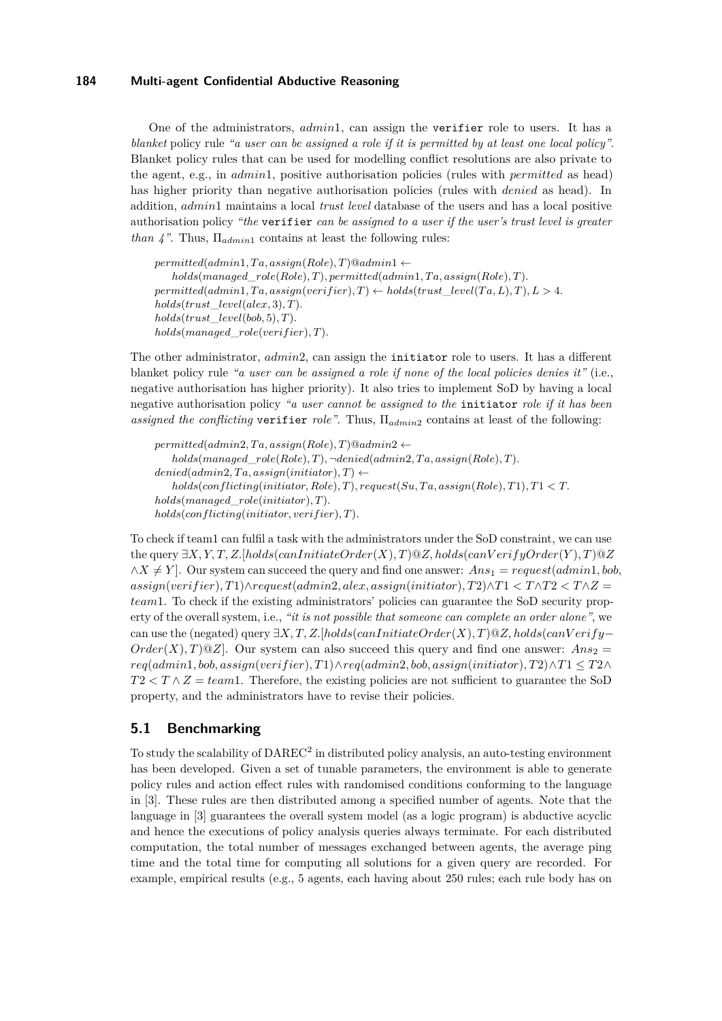One of the administrators, *admin*1, can assign the verifier role to users. It has a *blanket* policy rule *"a user can be assigned a role if it is permitted by at least one local policy"*. Blanket policy rules that can be used for modelling conflict resolutions are also private to the agent, e.g., in *admin*1, positive authorisation policies (rules with *permitted* as head) has higher priority than negative authorisation policies (rules with *denied* as head). In addition, *admin*1 maintains a local *trust level* database of the users and has a local positive authorisation policy *"the* verifier *can be assigned to a user if the user's trust level is greater than 4"*. Thus, Π*admin*<sup>1</sup> contains at least the following rules:

 $permitted (admin1, Ta, assign (Role), T) @admin1 \leftarrow$  $holds(managed\_role(Role), T)$ ,  $permitted(admin1, Ta, assign(Role), T)$ .  $permitted(admin1, Ta, assign(verifier), T) \leftarrow holds(trust\_level(Ta, L), T), L > 4$ . *holds*(*trust*\_*level*(*alex,* 3)*, T*)*. holds*(*trust*\_*level*(*bob,* 5)*, T*)*. holds*(*managed*\_*role*(*verif ier*)*, T*)*.*

The other administrator, *admin*2, can assign the initiator role to users. It has a different blanket policy rule *"a user can be assigned a role if none of the local policies denies it"* (i.e., negative authorisation has higher priority). It also tries to implement SoD by having a local negative authorisation policy *"a user cannot be assigned to the* initiator *role if it has been assigned the conflicting* verifier *role"*. Thus, Π*admin*<sup>2</sup> contains at least of the following:

 $permitted (admin2, Ta, assign (Role), T) @ admin2 \leftarrow$  $holds(managed\_role(Role), T)$ ,  $\neg denied(admin2, Ta, assign(Role), T)$ .  $denied(admin2, Ta, assign(initiator), T) \leftarrow$  $holds($ *conflicting*(*initiator, Role*)*,T*)*, request*(*Su, Ta, assign*(*Role*)*,T*)*,T*1  $\lt$ *T. holds*(*managed*\_*role*(*initiator*)*, T*)*.*  $holds(conflicting (initiator, verifier), T).$ 

To check if team1 can fulfil a task with the administrators under the SoD constraint, we can use the query ∃*X, Y, T, Z.*[*holds*(*canInitiateOrder*(*X*)*, T*)@*Z, holds*(*canV erifyOrder*(*Y* )*, T*)@*Z*  $\wedge X \neq Y$ . Our system can succeed the query and find one answer:  $Ans_1 = request(admin1, bob,$  $a$ *assign*( $verifier$ )*,T*1)∧ $request(admin2, Alex, assign(initiator)$ *,T*2)∧*T*1 <  $T \wedge T2$  <  $T \wedge Z$  = *team*1. To check if the existing administrators' policies can guarantee the SoD security property of the overall system, i.e., *"it is not possible that someone can complete an order alone"*, we can use the (negated) query ∃*X, T, Z.*[*holds*(*canInitiateOrder*(*X*)*, T*)@*Z, holds*(*canV erify*− *Order*(*X*), *T*)@*Z*]. Our system can also succeed this query and find one answer:  $Ans_2 =$ *req*(*admin*1*, bob, assign*(*verif ier*)*, T*1)∧*req*(*admin*2*, bob, assign*(*initiator*)*, T*2)∧*T*1 ≤ *T*2∧  $T2 < T \wedge Z = team1$ . Therefore, the existing policies are not sufficient to guarantee the SoD property, and the administrators have to revise their policies.

## **5.1 Benchmarking**

To study the scalability of DAREC<sup>2</sup> in distributed policy analysis, an auto-testing environment has been developed. Given a set of tunable parameters, the environment is able to generate policy rules and action effect rules with randomised conditions conforming to the language in [\[3\]](#page-10-10). These rules are then distributed among a specified number of agents. Note that the language in [\[3\]](#page-10-10) guarantees the overall system model (as a logic program) is abductive acyclic and hence the executions of policy analysis queries always terminate. For each distributed computation, the total number of messages exchanged between agents, the average ping time and the total time for computing all solutions for a given query are recorded. For example, empirical results (e.g., 5 agents, each having about 250 rules; each rule body has on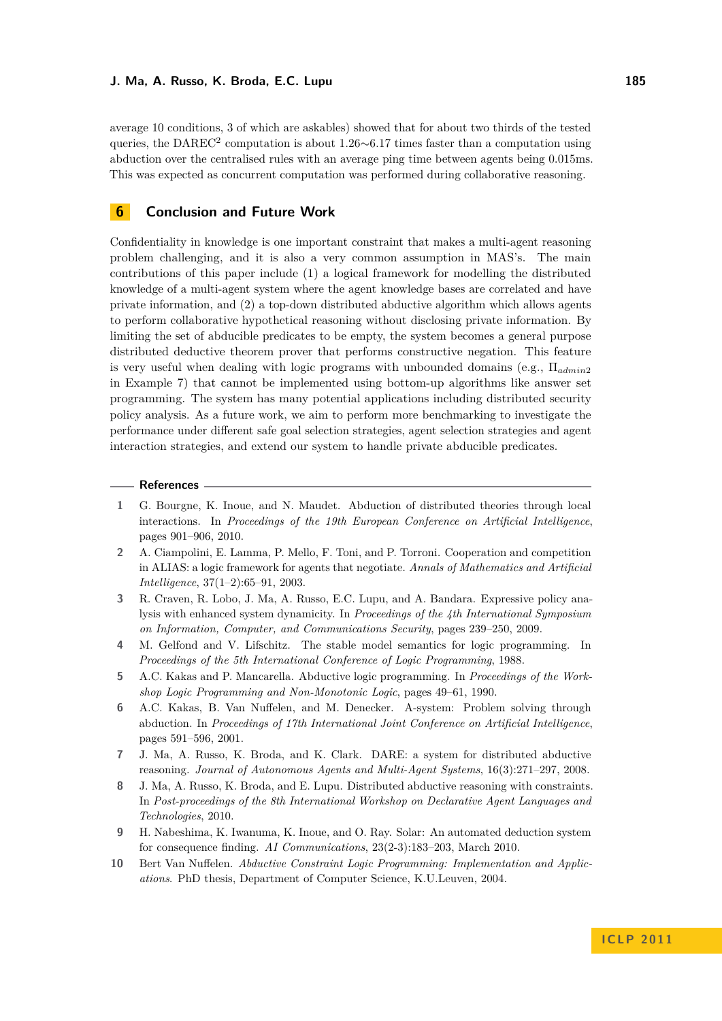average 10 conditions, 3 of which are askables) showed that for about two thirds of the tested queries, the DAREC<sup>2</sup> computation is about 1.26∼6.17 times faster than a computation using abduction over the centralised rules with an average ping time between agents being 0.015ms. This was expected as concurrent computation was performed during collaborative reasoning.

## <span id="page-10-0"></span>**6 Conclusion and Future Work**

Confidentiality in knowledge is one important constraint that makes a multi-agent reasoning problem challenging, and it is also a very common assumption in MAS's. The main contributions of this paper include (1) a logical framework for modelling the distributed knowledge of a multi-agent system where the agent knowledge bases are correlated and have private information, and (2) a top-down distributed abductive algorithm which allows agents to perform collaborative hypothetical reasoning without disclosing private information. By limiting the set of abducible predicates to be empty, the system becomes a general purpose distributed deductive theorem prover that performs constructive negation. This feature is very useful when dealing with logic programs with unbounded domains (e.g., Π*admin*<sup>2</sup> in Example [7\)](#page-8-1) that cannot be implemented using bottom-up algorithms like answer set programming. The system has many potential applications including distributed security policy analysis. As a future work, we aim to perform more benchmarking to investigate the performance under different safe goal selection strategies, agent selection strategies and agent interaction strategies, and extend our system to handle private abducible predicates.

#### **References**

- <span id="page-10-3"></span>**1** G. Bourgne, K. Inoue, and N. Maudet. Abduction of distributed theories through local interactions. In *Proceedings of the 19th European Conference on Artificial Intelligence*, pages 901–906, 2010.
- <span id="page-10-1"></span>**2** A. Ciampolini, E. Lamma, P. Mello, F. Toni, and P. Torroni. Cooperation and competition in ALIAS: a logic framework for agents that negotiate. *Annals of Mathematics and Artificial Intelligence*, 37(1–2):65–91, 2003.
- <span id="page-10-10"></span>**3** R. Craven, R. Lobo, J. Ma, A. Russo, E.C. Lupu, and A. Bandara. Expressive policy analysis with enhanced system dynamicity. In *Proceedings of the 4th International Symposium on Information, Computer, and Communications Security*, pages 239–250, 2009.
- <span id="page-10-9"></span>**4** M. Gelfond and V. Lifschitz. The stable model semantics for logic programming. In *Proceedings of the 5th International Conference of Logic Programming*, 1988.
- <span id="page-10-5"></span>**5** A.C. Kakas and P. Mancarella. Abductive logic programming. In *Proceedings of the Workshop Logic Programming and Non-Monotonic Logic*, pages 49–61, 1990.
- <span id="page-10-8"></span>**6** A.C. Kakas, B. Van Nuffelen, and M. Denecker. A-system: Problem solving through abduction. In *Proceedings of 17th International Joint Conference on Artificial Intelligence*, pages 591–596, 2001.
- <span id="page-10-2"></span>**7** J. Ma, A. Russo, K. Broda, and K. Clark. DARE: a system for distributed abductive reasoning. *Journal of Autonomous Agents and Multi-Agent Systems*, 16(3):271–297, 2008.
- <span id="page-10-4"></span>**8** J. Ma, A. Russo, K. Broda, and E. Lupu. Distributed abductive reasoning with constraints. In *Post-proceedings of the 8th International Workshop on Declarative Agent Languages and Technologies*, 2010.
- <span id="page-10-6"></span>**9** H. Nabeshima, K. Iwanuma, K. Inoue, and O. Ray. Solar: An automated deduction system for consequence finding. *AI Communications*, 23(2-3):183–203, March 2010.
- <span id="page-10-7"></span>**10** Bert Van Nuffelen. *Abductive Constraint Logic Programming: Implementation and Applications*. PhD thesis, Department of Computer Science, K.U.Leuven, 2004.